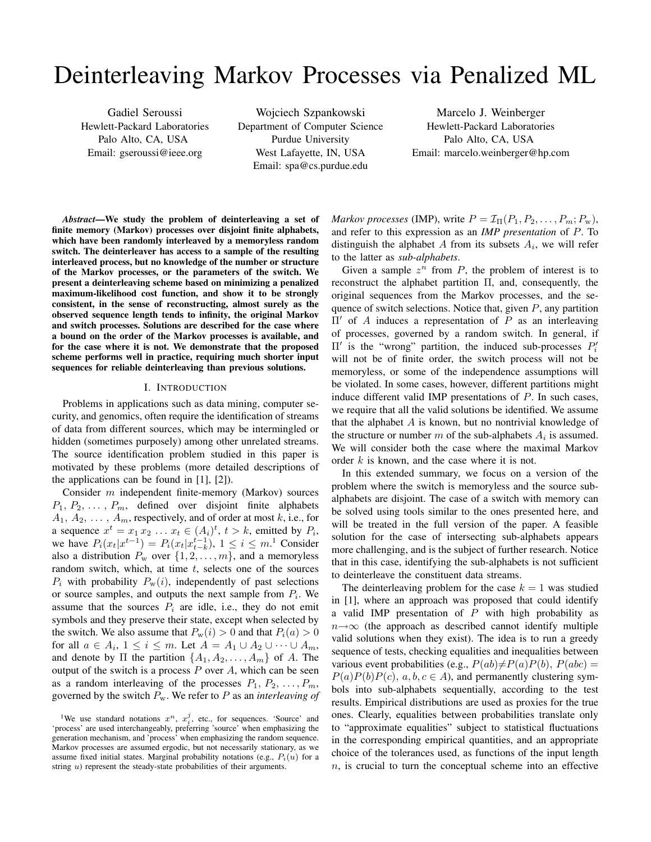# Deinterleaving Markov Processes via Penalized ML

Gadiel Seroussi Hewlett-Packard Laboratories Palo Alto, CA, USA Email: gseroussi@ieee.org

Wojciech Szpankowski Department of Computer Science Purdue University West Lafayette, IN, USA Email: spa@cs.purdue.edu

Marcelo J. Weinberger Hewlett-Packard Laboratories Palo Alto, CA, USA Email: marcelo.weinberger@hp.com

*Abstract*—We study the problem of deinterleaving a set of finite memory (Markov) processes over disjoint finite alphabets, which have been randomly interleaved by a memoryless random switch. The deinterleaver has access to a sample of the resulting interleaved process, but no knowledge of the number or structure of the Markov processes, or the parameters of the switch. We present a deinterleaving scheme based on minimizing a penalized maximum-likelihood cost function, and show it to be strongly consistent, in the sense of reconstructing, almost surely as the observed sequence length tends to infinity, the original Markov and switch processes. Solutions are described for the case where a bound on the order of the Markov processes is available, and for the case where it is not. We demonstrate that the proposed scheme performs well in practice, requiring much shorter input sequences for reliable deinterleaving than previous solutions.

# I. INTRODUCTION

Problems in applications such as data mining, computer security, and genomics, often require the identification of streams of data from different sources, which may be intermingled or hidden (sometimes purposely) among other unrelated streams. The source identification problem studied in this paper is motivated by these problems (more detailed descriptions of the applications can be found in [1], [2]).

Consider m independent finite-memory (Markov) sources  $P_1, P_2, \ldots, P_m$ , defined over disjoint finite alphabets  $A_1, A_2, \ldots, A_m$ , respectively, and of order at most k, i.e., for a sequence  $x^t = x_1 x_2 \dots x_t \in (A_i)^t$ ,  $t > k$ , emitted by  $P_i$ , we have  $P_i(x_t|x^{t-1}) = P_i(x_t|x_{t-k}^{t-1}), 1 \le i \le m$ .<sup>1</sup> Consider also a distribution  $P_w$  over  $\{1, 2, \ldots, m\}$ , and a memoryless random switch, which, at time  $t$ , selects one of the sources  $P_i$  with probability  $P_w(i)$ , independently of past selections or source samples, and outputs the next sample from  $P_i$ . We assume that the sources  $P_i$  are idle, i.e., they do not emit symbols and they preserve their state, except when selected by the switch. We also assume that  $P_w(i) > 0$  and that  $P_i(a) > 0$ for all  $a \in A_i$ ,  $1 \leq i \leq m$ . Let  $A = A_1 \cup A_2 \cup \cdots \cup A_m$ , and denote by  $\Pi$  the partition  $\{A_1, A_2, \ldots, A_m\}$  of A. The output of the switch is a process  $P$  over  $A$ , which can be seen as a random interleaving of the processes  $P_1, P_2, \ldots, P_m$ , governed by the switch Pw. We refer to P as an *interleaving of*

<sup>1</sup>We use standard notations  $x^n$ ,  $x_i^j$ , etc., for sequences. 'Source' and 'process' are used interchangeably, preferring 'source' when emphasizing the generation mechanism, and 'process' when emphasizing the random sequence. Markov processes are assumed ergodic, but not necessarily stationary, as we assume fixed initial states. Marginal probability notations (e.g.,  $P_i(u)$  for a string u) represent the steady-state probabilities of their arguments.

*Markov processes* (IMP), write  $P = \mathcal{I}_{\Pi}(P_1, P_2, \ldots, P_m; P_w)$ , and refer to this expression as an *IMP presentation* of P. To distinguish the alphabet A from its subsets  $A_i$ , we will refer to the latter as *sub-alphabets*.

Given a sample  $z^n$  from  $P$ , the problem of interest is to reconstruct the alphabet partition Π, and, consequently, the original sequences from the Markov processes, and the sequence of switch selections. Notice that, given  $P$ , any partition  $\Pi'$  of A induces a representation of P as an interleaving of processes, governed by a random switch. In general, if  $\Pi'$  is the "wrong" partition, the induced sub-processes  $P'_i$ will not be of finite order, the switch process will not be memoryless, or some of the independence assumptions will be violated. In some cases, however, different partitions might induce different valid IMP presentations of P. In such cases, we require that all the valid solutions be identified. We assume that the alphabet  $A$  is known, but no nontrivial knowledge of the structure or number  $m$  of the sub-alphabets  $A_i$  is assumed. We will consider both the case where the maximal Markov order  $k$  is known, and the case where it is not.

In this extended summary, we focus on a version of the problem where the switch is memoryless and the source subalphabets are disjoint. The case of a switch with memory can be solved using tools similar to the ones presented here, and will be treated in the full version of the paper. A feasible solution for the case of intersecting sub-alphabets appears more challenging, and is the subject of further research. Notice that in this case, identifying the sub-alphabets is not sufficient to deinterleave the constituent data streams.

The deinterleaving problem for the case  $k = 1$  was studied in [1], where an approach was proposed that could identify a valid IMP presentation of  $P$  with high probability as  $n \rightarrow \infty$  (the approach as described cannot identify multiple valid solutions when they exist). The idea is to run a greedy sequence of tests, checking equalities and inequalities between various event probabilities (e.g.,  $P(ab) \neq P(a)P(b)$ ,  $P(abc) =$  $P(a)P(b)P(c), a, b, c \in A$ , and permanently clustering symbols into sub-alphabets sequentially, according to the test results. Empirical distributions are used as proxies for the true ones. Clearly, equalities between probabilities translate only to "approximate equalities" subject to statistical fluctuations in the corresponding empirical quantities, and an appropriate choice of the tolerances used, as functions of the input length  $n$ , is crucial to turn the conceptual scheme into an effective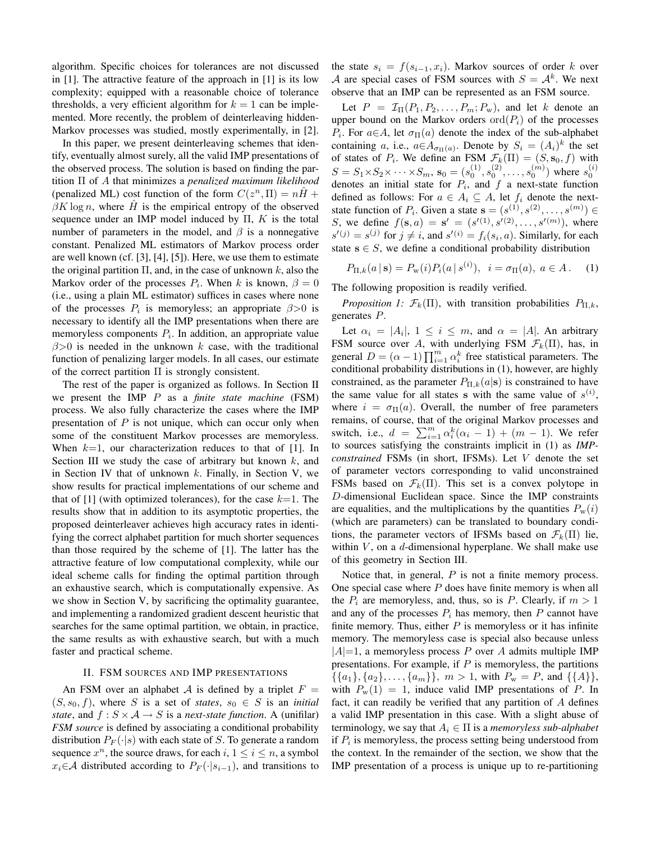algorithm. Specific choices for tolerances are not discussed in [1]. The attractive feature of the approach in [1] is its low complexity; equipped with a reasonable choice of tolerance thresholds, a very efficient algorithm for  $k = 1$  can be implemented. More recently, the problem of deinterleaving hidden-Markov processes was studied, mostly experimentally, in [2].

In this paper, we present deinterleaving schemes that identify, eventually almost surely, all the valid IMP presentations of the observed process. The solution is based on finding the partition Π of A that minimizes a *penalized maximum likelihood* (penalized ML) cost function of the form  $C(z^n, \Pi) = n\hat{H} +$  $\beta K \log n$ , where H is the empirical entropy of the observed sequence under an IMP model induced by  $\Pi$ ,  $K$  is the total number of parameters in the model, and  $\beta$  is a nonnegative constant. Penalized ML estimators of Markov process order are well known (cf. [3], [4], [5]). Here, we use them to estimate the original partition  $\Pi$ , and, in the case of unknown k, also the Markov order of the processes  $P_i$ . When k is known,  $\beta = 0$ (i.e., using a plain ML estimator) suffices in cases where none of the processes  $P_i$  is memoryless; an appropriate  $\beta > 0$  is necessary to identify all the IMP presentations when there are memoryless components  $P_i$ . In addition, an appropriate value  $\beta$ >0 is needed in the unknown k case, with the traditional function of penalizing larger models. In all cases, our estimate of the correct partition  $\Pi$  is strongly consistent.

The rest of the paper is organized as follows. In Section II we present the IMP P as a *finite state machine* (FSM) process. We also fully characterize the cases where the IMP presentation of  $P$  is not unique, which can occur only when some of the constituent Markov processes are memoryless. When  $k=1$ , our characterization reduces to that of [1]. In Section III we study the case of arbitrary but known  $k$ , and in Section IV that of unknown  $k$ . Finally, in Section V, we show results for practical implementations of our scheme and that of [1] (with optimized tolerances), for the case  $k=1$ . The results show that in addition to its asymptotic properties, the proposed deinterleaver achieves high accuracy rates in identifying the correct alphabet partition for much shorter sequences than those required by the scheme of [1]. The latter has the attractive feature of low computational complexity, while our ideal scheme calls for finding the optimal partition through an exhaustive search, which is computationally expensive. As we show in Section V, by sacrificing the optimality guarantee, and implementing a randomized gradient descent heuristic that searches for the same optimal partition, we obtain, in practice, the same results as with exhaustive search, but with a much faster and practical scheme.

# II. FSM SOURCES AND IMP PRESENTATIONS

An FSM over an alphabet A is defined by a triplet  $F =$  $(S, s_0, f)$ , where S is a set of *states*,  $s_0 \in S$  is an *initial state*, and  $f : S \times A \rightarrow S$  is a *next-state function*. A (unifilar) *FSM source* is defined by associating a conditional probability distribution  $P_F(\cdot|s)$  with each state of S. To generate a random sequence  $x^n$ , the source draws, for each  $i, 1 \le i \le n$ , a symbol  $x_i \in \mathcal{A}$  distributed according to  $P_F(\cdot|s_{i-1})$ , and transitions to the state  $s_i = f(s_{i-1}, x_i)$ . Markov sources of order k over A are special cases of FSM sources with  $S = A<sup>k</sup>$ . We next observe that an IMP can be represented as an FSM source.

Let  $P = \mathcal{I}_{\Pi}(P_1, P_2, \ldots, P_m; P_w)$ , and let k denote an upper bound on the Markov orders  $\text{ord}(P_i)$  of the processes  $P_i$ . For  $a \in A$ , let  $\sigma_{\Pi}(a)$  denote the index of the sub-alphabet containing a, i.e.,  $a \in A_{\sigma_{\Pi}(a)}$ . Denote by  $S_i = (A_i)^k$  the set of states of  $P_i$ . We define an FSM  $\mathcal{F}_k(\Pi) = (S, \mathbf{s}_0, f)$  with  $S = S_1 \times S_2 \times \cdots \times S_m$ ,  $\mathbf{s}_0 = (s_0^{(1)}, s_0^{(2)}, \dots, s_0^{(m)})$  where  $s_0^{(i)}$ denotes an initial state for  $P_i$ , and  $f$  a next-state function defined as follows: For  $a \in A_i \subseteq A$ , let  $f_i$  denote the nextstate function of  $P_i$ . Given a state  $\mathbf{s} = (s^{(1)}, s^{(2)}, \dots, s^{(m)}) \in$ S, we define  $f(s, a) = s' = (s'(1), s'(2), \ldots, s'(m))$ , where  $s'(j) = s^{(j)}$  for  $j \neq i$ , and  $s'(i) = f_i(s_i, a)$ . Similarly, for each state  $s \in S$ , we define a conditional probability distribution

$$
P_{\Pi,k}(a \mid \mathbf{s}) = P_{\mathbf{w}}(i) P_i(a \mid s^{(i)}), \ \ i = \sigma_{\Pi}(a), \ a \in A. \tag{1}
$$

The following proposition is readily verified.

*Proposition 1:*  $\mathcal{F}_k(\Pi)$ , with transition probabilities  $P_{\Pi,k}$ , generates P.

Let  $\alpha_i = |A_i|, 1 \leq i \leq m$ , and  $\alpha = |A|$ . An arbitrary FSM source over A, with underlying FSM  $\mathcal{F}_k(\Pi)$ , has, in general  $D = (\alpha - 1) \prod_{i=1}^{m} \alpha_i^k$  free statistical parameters. The conditional probability distributions in (1), however, are highly constrained, as the parameter  $P_{\Pi,k}(a|\mathbf{s})$  is constrained to have the same value for all states s with the same value of  $s^{(i)}$ , where  $i = \sigma_{\Pi}(a)$ . Overall, the number of free parameters remains, of course, that of the original Markov processes and switch, i.e.,  $d = \sum_{i=1}^{m} \alpha_i^k (\alpha_i - 1) + (m - 1)$ . We refer to sources satisfying the constraints implicit in (1) as *IMPconstrained* FSMs (in short, IFSMs). Let V denote the set of parameter vectors corresponding to valid unconstrained FSMs based on  $\mathcal{F}_k(\Pi)$ . This set is a convex polytope in D-dimensional Euclidean space. Since the IMP constraints are equalities, and the multiplications by the quantities  $P_w(i)$ (which are parameters) can be translated to boundary conditions, the parameter vectors of IFSMs based on  $\mathcal{F}_k(\Pi)$  lie, within  $V$ , on a  $d$ -dimensional hyperplane. We shall make use of this geometry in Section III.

Notice that, in general,  $P$  is not a finite memory process. One special case where  $P$  does have finite memory is when all the  $P_i$  are memoryless, and, thus, so is P. Clearly, if  $m > 1$ and any of the processes  $P_i$  has memory, then P cannot have finite memory. Thus, either  $P$  is memoryless or it has infinite memory. The memoryless case is special also because unless  $|A|=1$ , a memoryless process P over A admits multiple IMP presentations. For example, if  $P$  is memoryless, the partitions  $\{\{a_1\}, \{a_2\}, \ldots, \{a_m\}\}\$ ,  $m > 1$ , with  $P_w = P$ , and  $\{\{A\}\}\$ , with  $P_w(1) = 1$ , induce valid IMP presentations of P. In fact, it can readily be verified that any partition of  $A$  defines a valid IMP presentation in this case. With a slight abuse of terminology, we say that  $A_i \in \Pi$  is a *memoryless sub-alphabet* if  $P_i$  is memoryless, the process setting being understood from the context. In the remainder of the section, we show that the IMP presentation of a process is unique up to re-partitioning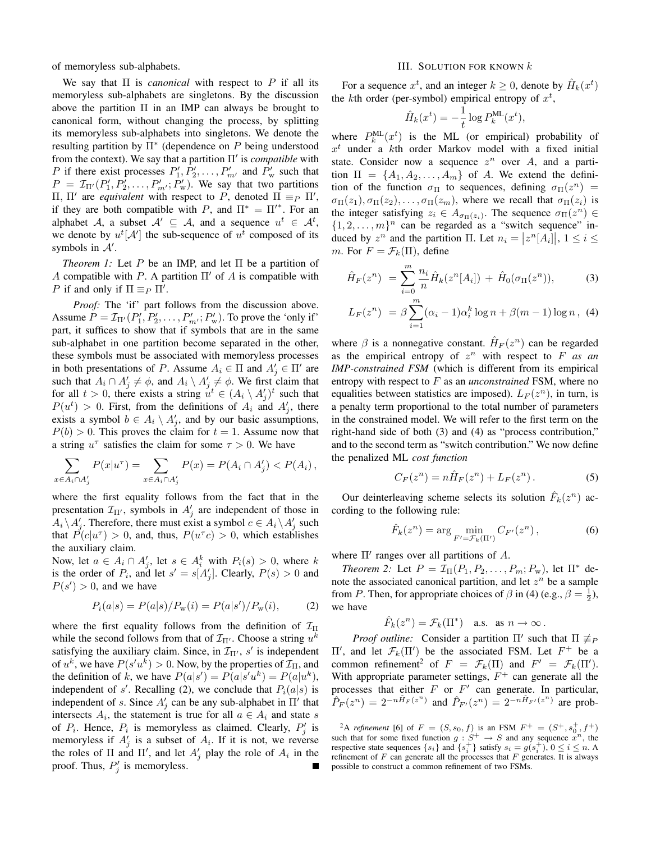of memoryless sub-alphabets.

We say that Π is *canonical* with respect to P if all its memoryless sub-alphabets are singletons. By the discussion above the partition  $\Pi$  in an IMP can always be brought to canonical form, without changing the process, by splitting its memoryless sub-alphabets into singletons. We denote the resulting partition by  $\Pi^*$  (dependence on  $P$  being understood from the context). We say that a partition Π' is *compatible* with P if there exist processes  $P'_1, P'_2, \ldots, P'_{m'}$  and  $P'_{w}$  such that  $P = \mathcal{I}_{\Pi'}(P'_1, P'_2, \dots, P'_{m'}; P'_w)$ . We say that two partitions  $\Pi$ ,  $\Pi'$  are *equivalent* with respect to *P*, denoted  $\Pi ≡_P$   $\Pi'$ , if they are both compatible with P, and  $\Pi^* = \Pi'^*$ . For an alphabet A, a subset  $A' \subseteq A$ , and a sequence  $u^t \in A^t$ , we denote by  $u^t[A']$  the sub-sequence of  $u^t$  composed of its symbols in  $A'$ .

*Theorem 1:* Let P be an IMP, and let Π be a partition of A compatible with P. A partition  $\Pi'$  of A is compatible with *P* if and only if  $\Pi \equiv_P \Pi'$ .

*Proof:* The 'if' part follows from the discussion above. Assume  $P = \mathcal{I}_{\Pi'}(P'_1, P'_2, \dots, P'_{m'}; P'_w)$ . To prove the 'only if' part, it suffices to show that if symbols that are in the same sub-alphabet in one partition become separated in the other, these symbols must be associated with memoryless processes in both presentations of P. Assume  $A_i \in \Pi$  and  $A'_j \in \Pi'$  are such that  $A_i \cap A'_j \neq \emptyset$ , and  $A_i \setminus A'_j \neq \emptyset$ . We first claim that for all  $t > 0$ , there exists a string  $u^t \in (A_i \setminus A'_j)^t$  such that  $P(u^t) > 0$ . First, from the definitions of  $A_i$  and  $A'_j$ , there exists a symbol  $b \in A_i \setminus A'_j$ , and by our basic assumptions,  $P(b) > 0$ . This proves the claim for  $t = 1$ . Assume now that a string  $u^{\tau}$  satisfies the claim for some  $\tau > 0$ . We have

$$
\sum_{x \in A_i \cap A'_j} P(x|u^{\tau}) = \sum_{x \in A_i \cap A'_j} P(x) = P(A_i \cap A'_j) < P(A_i),
$$

where the first equality follows from the fact that in the presentation  $\mathcal{I}_{\Pi'}$ , symbols in  $A'_j$  are independent of those in  $A_i \backslash A'_j$ . Therefore, there must exist a symbol  $c \in A_i \backslash A'_j$  such that  $P(c|u^{\tau}) > 0$ , and, thus,  $P(u^{\tau}c) > 0$ , which establishes the auxiliary claim.

Now, let  $a \in A_i \cap A'_j$ , let  $s \in A_i^k$  with  $P_i(s) > 0$ , where k is the order of  $P_i$ , and let  $s' = s[A'_j]$ . Clearly,  $P(s) > 0$  and  $P(s') > 0$ , and we have

$$
P_i(a|s) = P(a|s)/P_w(i) = P(a|s')/P_w(i),
$$
 (2)

where the first equality follows from the definition of  $\mathcal{I}_{\Pi}$ while the second follows from that of  $\mathcal{I}_{\Pi'}$ . Choose a string  $u^k$ satisfying the auxiliary claim. Since, in  $\mathcal{I}_{\Pi}$ , s' is independent of  $u^k$ , we have  $P(s'u^k) > 0$ . Now, by the properties of  $\mathcal{I}_{\Pi}$ , and the definition of k, we have  $P(a|s') = P(a|s'u^k) = P(a|u^k)$ , independent of s'. Recalling (2), we conclude that  $P_i(a|s)$  is independent of s. Since  $A'_j$  can be any sub-alphabet in  $\Pi'$  that intersects  $A_i$ , the statement is true for all  $a \in A_i$  and state s of  $P_i$ . Hence,  $P_i$  is memoryless as claimed. Clearly,  $P'_j$  is memoryless if  $A'_j$  is a subset of  $A_i$ . If it is not, we reverse the roles of  $\Pi$  and  $\Pi'$ , and let  $A'_{j}$  play the role of  $A_{i}$  in the proof. Thus,  $P'_j$  is memoryless.

# III. SOLUTION FOR KNOWN  $k$

For a sequence  $x^t$ , and an integer  $k \geq 0$ , denote by  $\hat{H}_k(x^t)$ the kth order (per-symbol) empirical entropy of  $x^t$ ,

$$
\hat{H}_k(x^t) = -\frac{1}{t} \log P_k^{\text{ML}}(x^t),
$$

where  $P_k^{\text{ML}}(x^t)$  is the ML (or empirical) probability of  $x<sup>t</sup>$  under a kth order Markov model with a fixed initial state. Consider now a sequence  $z^n$  over A, and a partition  $\Pi = \{A_1, A_2, \ldots, A_m\}$  of A. We extend the definition of the function  $\sigma_{\Pi}$  to sequences, defining  $\sigma_{\Pi}(z^n)$  =  $\sigma_{\Pi}(z_1), \sigma_{\Pi}(z_2), \ldots, \sigma_{\Pi}(z_m)$ , where we recall that  $\sigma_{\Pi}(z_i)$  is the integer satisfying  $z_i \in A_{\sigma_{\Pi}(z_i)}$ . The sequence  $\sigma_{\Pi}(z^n) \in$  $\{1, 2, \ldots, m\}^n$  can be regarded as a "switch sequence" induced by  $z^n$  and the partition  $\Pi$ . Let  $n_i = |z^n[A_i]|$ ,  $1 \le i \le n$ m. For  $F = \mathcal{F}_k(\Pi)$ , define

$$
\hat{H}_F(z^n) = \sum_{i=0}^m \frac{n_i}{n} \hat{H}_k(z^n[A_i]) + \hat{H}_0(\sigma_\Pi(z^n)), \tag{3}
$$

$$
L_F(z^n) = \beta \sum_{i=1}^m (\alpha_i - 1)\alpha_i^k \log n + \beta(m - 1) \log n , \tag{4}
$$

where  $\beta$  is a nonnegative constant.  $\hat{H}_F(z^n)$  can be regarded as the empirical entropy of  $z^n$  with respect to  $F$  *as an IMP-constrained FSM* (which is different from its empirical entropy with respect to F as an *unconstrained* FSM, where no equalities between statistics are imposed).  $L_F(z^n)$ , in turn, is a penalty term proportional to the total number of parameters in the constrained model. We will refer to the first term on the right-hand side of both (3) and (4) as "process contribution," and to the second term as "switch contribution." We now define the penalized ML *cost function*

$$
C_F(z^n) = n\hat{H}_F(z^n) + L_F(z^n). \tag{5}
$$

Our deinterleaving scheme selects its solution  $\hat{F}_k(z^n)$  according to the following rule:

$$
\hat{F}_k(z^n) = \arg\min_{F' = \mathcal{F}_k(\Pi')} C_{F'}(z^n) ,\qquad (6)
$$

where  $\Pi'$  ranges over all partitions of  $A$ .

*Theorem 2:* Let  $P = \mathcal{I}_{\Pi}(P_1, P_2, \ldots, P_m; P_w)$ , let  $\Pi^*$  denote the associated canonical partition, and let  $z^n$  be a sample from *P*. Then, for appropriate choices of  $\beta$  in (4) (e.g.,  $\beta = \frac{1}{2}$ ), we have

$$
\hat{F}_k(z^n) = \mathcal{F}_k(\Pi^*)
$$
 a.s. as  $n \to \infty$ .

*Proof outline:* Consider a partition  $\Pi'$  such that  $\Pi \not\equiv_P$  $\Pi'$ , and let  $\mathcal{F}_k(\Pi')$  be the associated FSM. Let  $F^+$  be a common refinement<sup>2</sup> of  $F = \mathcal{F}_k(\Pi)$  and  $F' = \mathcal{F}_k(\Pi').$ With appropriate parameter settings,  $F^+$  can generate all the processes that either  $F$  or  $F'$  can generate. In particular,  $\hat{P}_F(z^n) = 2^{-n\hat{H}_F(z^n)}$  and  $\hat{P}_{F'}(z^n) = 2^{-n\hat{H}_{F'}(z^n)}$  are prob-

<sup>&</sup>lt;sup>2</sup>A *refinement* [6] of  $F = (S, s_0, f)$  is an FSM  $F^+ = (S^+, s_0^+, f^+)$ such that for some fixed function  $g : S^+ \to S$  and any sequence  $x^n$ , the respective state sequences  $\{s_i\}$  and  $\{s_i^+\}$  satisfy  $s_i = g(s_i^+), 0 \le i \le n$ . A refinement of  $F$  can generate all the processes that  $F$  generates. It is always possible to construct a common refinement of two FSMs.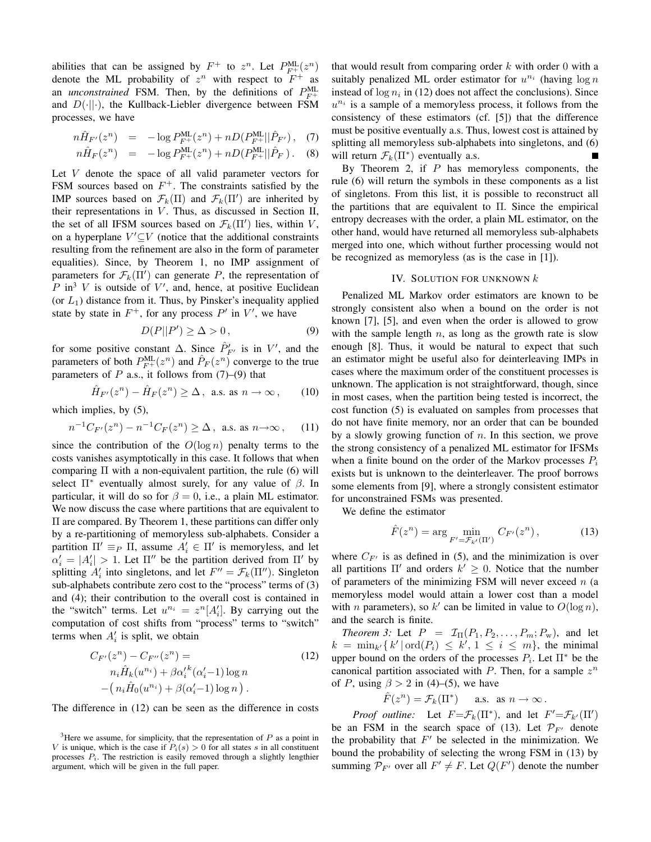abilities that can be assigned by  $F^+$  to  $z^n$ . Let  $P_{F^+}^{\text{ML}}(z^n)$ denote the ML probability of  $z^n$  with respect to  $F^+$  as an *unconstrained* FSM. Then, by the definitions of  $P_{F^+}^{\text{ML}}$ and  $D(\cdot||\cdot)$ , the Kullback-Liebler divergence between FSM processes, we have

$$
n\hat{H}_{F'}(z^n) = -\log P_{F^+}^{\text{ML}}(z^n) + nD(P_{F^+}^{\text{ML}}||\hat{P}_{F'}) , \quad (7)
$$

$$
n\hat{H}_F(z^n) = -\log P_{F^+}^{\text{ML}}(z^n) + nD(P_{F^+}^{\text{ML}}||\hat{P}_F). \quad (8)
$$

Let V denote the space of all valid parameter vectors for FSM sources based on  $F^+$ . The constraints satisfied by the IMP sources based on  $\mathcal{F}_k(\Pi)$  and  $\mathcal{F}_k(\Pi')$  are inherited by their representations in  $V$ . Thus, as discussed in Section II, the set of all IFSM sources based on  $\mathcal{F}_k(\Pi')$  lies, within V, on a hyperplane  $V' \subseteq V$  (notice that the additional constraints resulting from the refinement are also in the form of parameter equalities). Since, by Theorem 1, no IMP assignment of parameters for  $\mathcal{F}_k(\Pi')$  can generate P, the representation of  $P$  in<sup>3</sup> V is outside of V', and, hence, at positive Euclidean (or  $L_1$ ) distance from it. Thus, by Pinsker's inequality applied state by state in  $F^+$ , for any process  $P'$  in  $V'$ , we have

$$
D(P||P') \ge \Delta > 0, \tag{9}
$$

for some positive constant  $\Delta$ . Since  $\hat{P}_{F'}$  is in  $V'$ , and the parameters of both  $P_{F^+}^{\text{ML}}(z^n)$  and  $\hat{P}_F(z^n)$  converge to the true parameters of  $P$  a.s., it follows from  $(7)-(9)$  that

$$
\hat{H}_{F'}(z^n) - \hat{H}_F(z^n) \ge \Delta \,, \text{ a.s. as } n \to \infty \,, \qquad (10)
$$

which implies, by (5),

$$
n^{-1}C_{F'}(z^n) - n^{-1}C_F(z^n) \ge \Delta \,, \text{ a.s. as } n \to \infty \,, \quad (11)
$$

since the contribution of the  $O(\log n)$  penalty terms to the costs vanishes asymptotically in this case. It follows that when comparing  $\Pi$  with a non-equivalent partition, the rule (6) will select  $\Pi^*$  eventually almost surely, for any value of  $\beta$ . In particular, it will do so for  $\beta = 0$ , i.e., a plain ML estimator. We now discuss the case where partitions that are equivalent to Π are compared. By Theorem 1, these partitions can differ only by a re-partitioning of memoryless sub-alphabets. Consider a partition  $\Pi' \equiv_P \Pi$ , assume  $A'_i \in \Pi'$  is memoryless, and let  $\alpha'_i = |A'_i| > 1$ . Let  $\Pi''$  be the partition derived from  $\Pi'$  by splitting  $A'_i$  into singletons, and let  $F'' = \mathcal{F}_k(\Pi'')$ . Singleton sub-alphabets contribute zero cost to the "process" terms of (3) and (4); their contribution to the overall cost is contained in the "switch" terms. Let  $u^{n_i} = z^n [A'_i]$ . By carrying out the computation of cost shifts from "process" terms to "switch" terms when  $A_i$  is split, we obtain

$$
C_{F'}(z^n) - C_{F''}(z^n) =
$$
  
\n
$$
n_i \hat{H}_k(u^{n_i}) + \beta \alpha_i'^k(\alpha_i' - 1) \log n
$$
  
\n
$$
-(n_i \hat{H}_0(u^{n_i}) + \beta(\alpha_i' - 1) \log n).
$$
\n(12)

The difference in (12) can be seen as the difference in costs

that would result from comparing order  $k$  with order 0 with a suitably penalized ML order estimator for  $u^{n_i}$  (having  $\log n$ instead of  $\log n_i$  in (12) does not affect the conclusions). Since  $u^{n_i}$  is a sample of a memoryless process, it follows from the consistency of these estimators (cf. [5]) that the difference must be positive eventually a.s. Thus, lowest cost is attained by splitting all memoryless sub-alphabets into singletons, and (6) will return  $\mathcal{F}_k(\Pi^*)$  eventually a.s.

By Theorem 2, if  $P$  has memoryless components, the rule (6) will return the symbols in these components as a list of singletons. From this list, it is possible to reconstruct all the partitions that are equivalent to  $\Pi$ . Since the empirical entropy decreases with the order, a plain ML estimator, on the other hand, would have returned all memoryless sub-alphabets merged into one, which without further processing would not be recognized as memoryless (as is the case in [1]).

# IV. SOLUTION FOR UNKNOWN  $k$

Penalized ML Markov order estimators are known to be strongly consistent also when a bound on the order is not known [7], [5], and even when the order is allowed to grow with the sample length  $n$ , as long as the growth rate is slow enough [8]. Thus, it would be natural to expect that such an estimator might be useful also for deinterleaving IMPs in cases where the maximum order of the constituent processes is unknown. The application is not straightforward, though, since in most cases, when the partition being tested is incorrect, the cost function (5) is evaluated on samples from processes that do not have finite memory, nor an order that can be bounded by a slowly growing function of  $n$ . In this section, we prove the strong consistency of a penalized ML estimator for IFSMs when a finite bound on the order of the Markov processes  $P_i$ exists but is unknown to the deinterleaver. The proof borrows some elements from [9], where a strongly consistent estimator for unconstrained FSMs was presented.

We define the estimator

$$
\hat{F}(z^n) = \arg\min_{F' = \mathcal{F}_{k'}(\Pi')} C_{F'}(z^n),\tag{13}
$$

where  $C_{F'}$  is as defined in (5), and the minimization is over all partitions  $\Pi'$  and orders  $k' \geq 0$ . Notice that the number of parameters of the minimizing FSM will never exceed  $n$  (a memoryless model would attain a lower cost than a model with *n* parameters), so  $k'$  can be limited in value to  $O(\log n)$ , and the search is finite.

*Theorem 3:* Let  $P = \mathcal{I}_{\Pi}(P_1, P_2, \ldots, P_m; P_w)$ , and let  $k = \min_{k} \{ k' \mid \text{ord}(P_i) \leq k', 1 \leq i \leq m \},\$  the minimal upper bound on the orders of the processes  $P_i$ . Let  $\Pi^*$  be the canonical partition associated with  $P$ . Then, for a sample  $z^n$ of P, using  $\beta > 2$  in (4)–(5), we have

$$
\hat{F}(z^n) = \mathcal{F}_k(\Pi^*) \quad \text{a.s. as } n \to \infty.
$$

*Proof outline:* Let  $F = \mathcal{F}_k(\Pi^*)$ , and let  $F' = \mathcal{F}_{k'}(\Pi')$ be an FSM in the search space of (13). Let  $\mathcal{P}_{F'}$  denote the probability that  $F'$  be selected in the minimization. We bound the probability of selecting the wrong FSM in (13) by summing  $\mathcal{P}_{F'}$  over all  $F' \neq F$ . Let  $Q(F')$  denote the number

 $3$ Here we assume, for simplicity, that the representation of  $P$  as a point in V is unique, which is the case if  $P_i(s) > 0$  for all states s in all constituent processes  $P_i$ . The restriction is easily removed through a slightly lengthier argument, which will be given in the full paper.